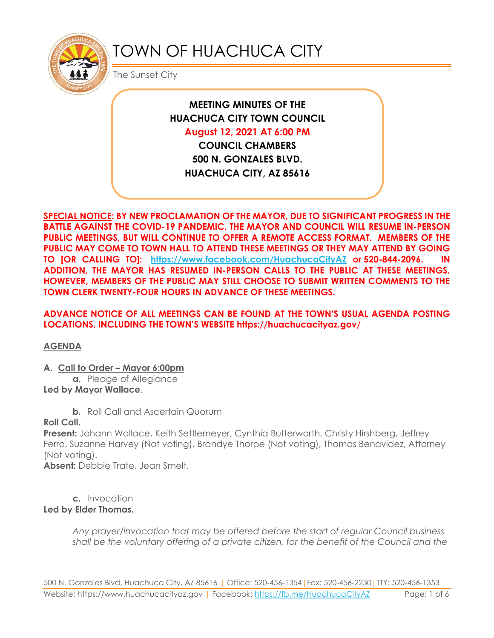

# TOWN OF HUACHUCA CITY

The Sunset City

**MEETING MINUTES OF THE HUACHUCA CITY TOWN COUNCIL** 

**August 12, 2021 AT 6:00 PM**

**COUNCIL CHAMBERS 500 N. GONZALES BLVD. HUACHUCA CITY, AZ 85616**

**SPECIAL NOTICE: BY NEW PROCLAMATION OF THE MAYOR, DUE TO SIGNIFICANT PROGRESS IN THE BATTLE AGAINST THE COVID-19 PANDEMIC, THE MAYOR AND COUNCIL WILL RESUME IN-PERSON PUBLIC MEETINGS, BUT WILL CONTINUE TO OFFER A REMOTE ACCESS FORMAT. MEMBERS OF THE PUBLIC MAY COME TO TOWN HALL TO ATTEND THESE MEETINGS OR THEY MAY ATTEND BY GOING TO [OR CALLING TO]: <https://www.facebook.com/HuachucaCityAZ> or 520-844-2096. IN ADDITION, THE MAYOR HAS RESUMED IN-PERSON CALLS TO THE PUBLIC AT THESE MEETINGS. HOWEVER, MEMBERS OF THE PUBLIC MAY STILL CHOOSE TO SUBMIT WRITTEN COMMENTS TO THE TOWN CLERK TWENTY-FOUR HOURS IN ADVANCE OF THESE MEETINGS.** 

# **ADVANCE NOTICE OF ALL MEETINGS CAN BE FOUND AT THE TOWN'S USUAL AGENDA POSTING LOCATIONS, INCLUDING THE TOWN'S WEBSITE https://huachucacityaz.gov/**

## **AGENDA**

## **A. Call to Order – Mayor 6:00pm**

**a.** Pledge of Allegiance **Led by Mayor Wallace**.

**b.** Roll Call and Ascertain Quorum

## **Roll Call.**

**Present:** Johann Wallace, Keith Settlemeyer, Cynthia Butterworth, Christy Hirshberg, Jeffrey Ferro, Suzanne Harvey (Not voting), Brandye Thorpe (Not voting), Thomas Benavidez, Attorney (Not voting).

**Absent:** Debbie Trate, Jean Smelt.

**c.** Invocation **Led by Elder Thomas.**

> *Any prayer/invocation that may be offered before the start of regular Council business shall be the voluntary offering of a private citizen, for the benefit of the Council and the*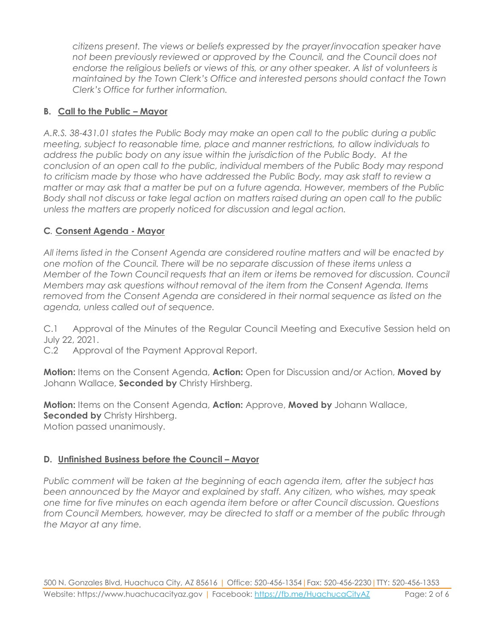*citizens present. The views or beliefs expressed by the prayer/invocation speaker have not been previously reviewed or approved by the Council, and the Council does not endorse the religious beliefs or views of this, or any other speaker. A list of volunteers is maintained by the Town Clerk's Office and interested persons should contact the Town Clerk's Office for further information.*

# **B. Call to the Public – Mayor**

*A.R.S. 38-431.01 states the Public Body may make an open call to the public during a public meeting, subject to reasonable time, place and manner restrictions, to allow individuals to address the public body on any issue within the jurisdiction of the Public Body. At the conclusion of an open call to the public, individual members of the Public Body may respond to criticism made by those who have addressed the Public Body, may ask staff to review a matter or may ask that a matter be put on a future agenda. However, members of the Public Body shall not discuss or take legal action on matters raised during an open call to the public unless the matters are properly noticed for discussion and legal action.*

# **C***.* **Consent Agenda - Mayor**

*All items listed in the Consent Agenda are considered routine matters and will be enacted by one motion of the Council. There will be no separate discussion of these items unless a Member of the Town Council requests that an item or items be removed for discussion. Council Members may ask questions without removal of the item from the Consent Agenda. Items removed from the Consent Agenda are considered in their normal sequence as listed on the agenda, unless called out of sequence.*

C.1 Approval of the Minutes of the Regular Council Meeting and Executive Session held on July 22, 2021.

C.2 Approval of the Payment Approval Report.

**Motion:** Items on the Consent Agenda, **Action:** Open for Discussion and/or Action, **Moved by** Johann Wallace, **Seconded by** Christy Hirshberg.

**Motion:** Items on the Consent Agenda, **Action:** Approve, **Moved by** Johann Wallace, **Seconded by Christy Hirshberg.** Motion passed unanimously.

## **D. Unfinished Business before the Council – Mayor**

*Public comment will be taken at the beginning of each agenda item, after the subject has been announced by the Mayor and explained by staff. Any citizen, who wishes, may speak one time for five minutes on each agenda item before or after Council discussion. Questions from Council Members, however, may be directed to staff or a member of the public through the Mayor at any time.*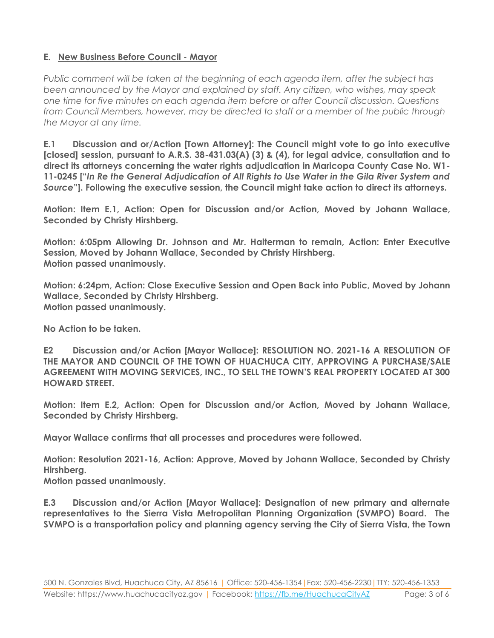# **E. New Business Before Council - Mayor**

*Public comment will be taken at the beginning of each agenda item, after the subject has been announced by the Mayor and explained by staff. Any citizen, who wishes, may speak one time for five minutes on each agenda item before or after Council discussion. Questions from Council Members, however, may be directed to staff or a member of the public through the Mayor at any time.*

**E.1 Discussion and or/Action [Town Attorney]: The Council might vote to go into executive [closed] session, pursuant to A.R.S. 38-431.03(A) (3) & (4), for legal advice, consultation and to direct its attorneys concerning the water rights adjudication in Maricopa County Case No. W1- 11-0245 ["***In Re the General Adjudication of All Rights to Use Water in the Gila River System and Source***"]. Following the executive session, the Council might take action to direct its attorneys.**

**Motion: Item E.1, Action: Open for Discussion and/or Action, Moved by Johann Wallace, Seconded by Christy Hirshberg.**

**Motion: 6:05pm Allowing Dr. Johnson and Mr. Halterman to remain, Action: Enter Executive Session, Moved by Johann Wallace, Seconded by Christy Hirshberg. Motion passed unanimously.**

**Motion: 6:24pm, Action: Close Executive Session and Open Back into Public, Moved by Johann Wallace, Seconded by Christy Hirshberg. Motion passed unanimously.**

**No Action to be taken.**

**E2 Discussion and/or Action [Mayor Wallace]: RESOLUTION NO. 2021-16 A RESOLUTION OF THE MAYOR AND COUNCIL OF THE TOWN OF HUACHUCA CITY, APPROVING A PURCHASE/SALE AGREEMENT WITH MOVING SERVICES, INC., TO SELL THE TOWN'S REAL PROPERTY LOCATED AT 300 HOWARD STREET.**

**Motion: Item E.2, Action: Open for Discussion and/or Action, Moved by Johann Wallace, Seconded by Christy Hirshberg.**

**Mayor Wallace confirms that all processes and procedures were followed.**

**Motion: Resolution 2021-16, Action: Approve, Moved by Johann Wallace, Seconded by Christy Hirshberg.**

**Motion passed unanimously.**

**E.3 Discussion and/or Action [Mayor Wallace]: Designation of new primary and alternate representatives to the Sierra Vista Metropolitan Planning Organization (SVMPO) Board. The SVMPO is a transportation policy and planning agency serving the City of Sierra Vista, the Town**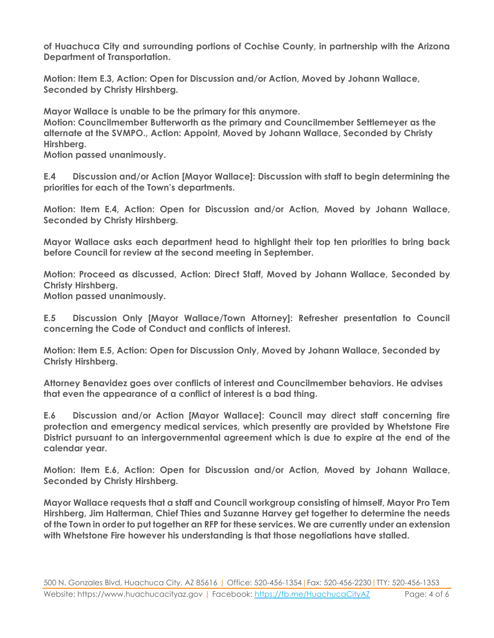**of Huachuca City and surrounding portions of Cochise County, in partnership with the Arizona Department of Transportation.**

**Motion: Item E.3, Action: Open for Discussion and/or Action, Moved by Johann Wallace, Seconded by Christy Hirshberg.**

**Mayor Wallace is unable to be the primary for this anymore.** 

**Motion: Councilmember Butterworth as the primary and Councilmember Settlemeyer as the alternate at the SVMPO., Action: Appoint, Moved by Johann Wallace, Seconded by Christy Hirshberg.**

**Motion passed unanimously.**

**E.4 Discussion and/or Action [Mayor Wallace]: Discussion with staff to begin determining the priorities for each of the Town's departments.**

**Motion: Item E.4, Action: Open for Discussion and/or Action, Moved by Johann Wallace, Seconded by Christy Hirshberg.**

**Mayor Wallace asks each department head to highlight their top ten priorities to bring back before Council for review at the second meeting in September.**

**Motion: Proceed as discussed, Action: Direct Staff, Moved by Johann Wallace, Seconded by Christy Hirshberg.**

**Motion passed unanimously.**

**E.5 Discussion Only [Mayor Wallace/Town Attorney]: Refresher presentation to Council concerning the Code of Conduct and conflicts of interest.**

**Motion: Item E.5, Action: Open for Discussion Only, Moved by Johann Wallace, Seconded by Christy Hirshberg.**

**Attorney Benavidez goes over conflicts of interest and Councilmember behaviors. He advises that even the appearance of a conflict of interest is a bad thing.**

**E.6 Discussion and/or Action [Mayor Wallace]: Council may direct staff concerning fire protection and emergency medical services, which presently are provided by Whetstone Fire District pursuant to an intergovernmental agreement which is due to expire at the end of the calendar year.** 

**Motion: Item E.6, Action: Open for Discussion and/or Action, Moved by Johann Wallace, Seconded by Christy Hirshberg.**

**Mayor Wallace requests that a staff and Council workgroup consisting of himself, Mayor Pro Tem Hirshberg, Jim Halterman, Chief Thies and Suzanne Harvey get together to determine the needs of the Town in order to put together an RFP for these services. We are currently under an extension with Whetstone Fire however his understanding is that those negotiations have stalled.**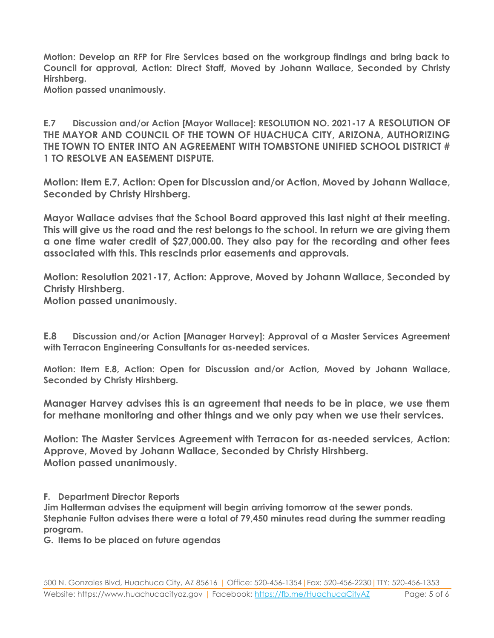**Motion: Develop an RFP for Fire Services based on the workgroup findings and bring back to Council for approval, Action: Direct Staff, Moved by Johann Wallace, Seconded by Christy Hirshberg.**

**Motion passed unanimously.**

**E.7 Discussion and/or Action [Mayor Wallace]: RESOLUTION NO. 2021-17 A RESOLUTION OF THE MAYOR AND COUNCIL OF THE TOWN OF HUACHUCA CITY, ARIZONA, AUTHORIZING THE TOWN TO ENTER INTO AN AGREEMENT WITH TOMBSTONE UNIFIED SCHOOL DISTRICT # 1 TO RESOLVE AN EASEMENT DISPUTE.**

**Motion: Item E.7, Action: Open for Discussion and/or Action, Moved by Johann Wallace, Seconded by Christy Hirshberg.**

**Mayor Wallace advises that the School Board approved this last night at their meeting. This will give us the road and the rest belongs to the school. In return we are giving them a one time water credit of \$27,000.00. They also pay for the recording and other fees associated with this. This rescinds prior easements and approvals.** 

**Motion: Resolution 2021-17, Action: Approve, Moved by Johann Wallace, Seconded by Christy Hirshberg. Motion passed unanimously.**

**E.8 Discussion and/or Action [Manager Harvey]: Approval of a Master Services Agreement with Terracon Engineering Consultants for as-needed services.** 

**Motion: Item E.8, Action: Open for Discussion and/or Action, Moved by Johann Wallace, Seconded by Christy Hirshberg.**

**Manager Harvey advises this is an agreement that needs to be in place, we use them for methane monitoring and other things and we only pay when we use their services.**

**Motion: The Master Services Agreement with Terracon for as-needed services, Action: Approve, Moved by Johann Wallace, Seconded by Christy Hirshberg. Motion passed unanimously.**

**F. Department Director Reports**

**Jim Halterman advises the equipment will begin arriving tomorrow at the sewer ponds. Stephanie Fulton advises there were a total of 79,450 minutes read during the summer reading program.**

**G. Items to be placed on future agendas**